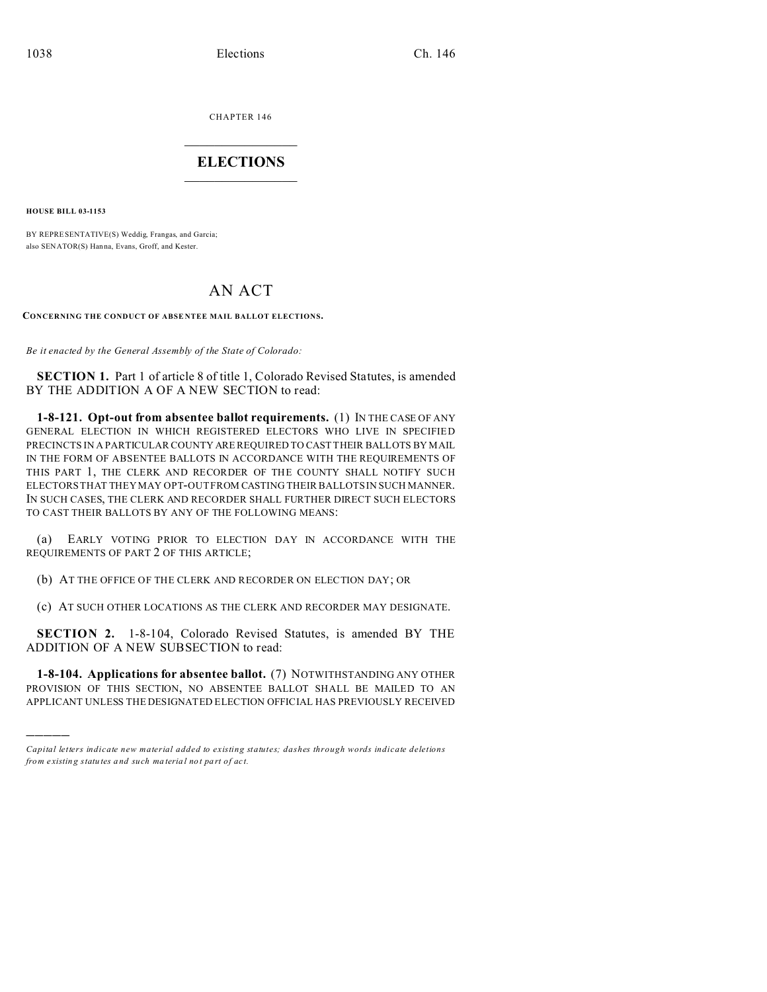CHAPTER 146  $\overline{\phantom{a}}$  , where  $\overline{\phantom{a}}$ 

## **ELECTIONS**  $\_$

**HOUSE BILL 03-1153**

)))))

BY REPRESENTATIVE(S) Weddig, Frangas, and Garcia; also SENATOR(S) Hanna, Evans, Groff, and Kester.

## AN ACT

CONCERNING THE CONDUCT OF ABSENTEE MAIL BALLOT ELECTIONS.

*Be it enacted by the General Assembly of the State of Colorado:*

**SECTION 1.** Part 1 of article 8 of title 1, Colorado Revised Statutes, is amended BY THE ADDITION A OF A NEW SECTION to read:

**1-8-121. Opt-out from absentee ballot requirements.** (1) IN THE CASE OF ANY GENERAL ELECTION IN WHICH REGISTERED ELECTORS WHO LIVE IN SPECIFIED PRECINCTS IN A PARTICULAR COUNTY ARE REQUIRED TO CAST THEIR BALLOTS BY MAIL IN THE FORM OF ABSENTEE BALLOTS IN ACCORDANCE WITH THE REQUIREMENTS OF THIS PART 1, THE CLERK AND RECORDER OF THE COUNTY SHALL NOTIFY SUCH ELECTORS THAT THEY MAY OPT-OUT FROM CASTING THEIR BALLOTS IN SUCH MANNER. IN SUCH CASES, THE CLERK AND RECORDER SHALL FURTHER DIRECT SUCH ELECTORS TO CAST THEIR BALLOTS BY ANY OF THE FOLLOWING MEANS:

(a) EARLY VOTING PRIOR TO ELECTION DAY IN ACCORDANCE WITH THE REQUIREMENTS OF PART 2 OF THIS ARTICLE;

(b) AT THE OFFICE OF THE CLERK AND RECORDER ON ELECTION DAY; OR

(c) AT SUCH OTHER LOCATIONS AS THE CLERK AND RECORDER MAY DESIGNATE.

**SECTION 2.** 1-8-104, Colorado Revised Statutes, is amended BY THE ADDITION OF A NEW SUBSECTION to read:

**1-8-104. Applications for absentee ballot.** (7) NOTWITHSTANDING ANY OTHER PROVISION OF THIS SECTION, NO ABSENTEE BALLOT SHALL BE MAILED TO AN APPLICANT UNLESS THE DESIGNATED ELECTION OFFICIAL HAS PREVIOUSLY RECEIVED

*Capital letters indicate new material added to existing statutes; dashes through words indicate deletions from e xistin g statu tes a nd such ma teria l no t pa rt of ac t.*